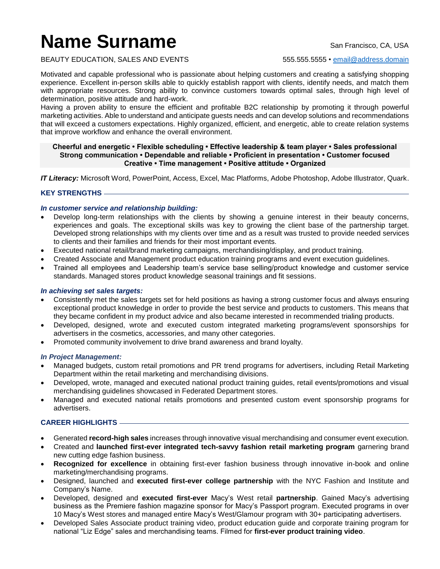# **Name Surname** San Francisco, CA, USA

BEAUTY EDUCATION, SALES AND EVENTS 555.555.5555 • [email@address.domain](mailto:email@address.domain)

Motivated and capable professional who is passionate about helping customers and creating a satisfying shopping experience. Excellent in-person skills able to quickly establish rapport with clients, identify needs, and match them with appropriate resources. Strong ability to convince customers towards optimal sales, through high level of determination, positive attitude and hard-work.

Having a proven ability to ensure the efficient and profitable B2C relationship by promoting it through powerful marketing activities. Able to understand and anticipate guests needs and can develop solutions and recommendations that will exceed a customers expectations. Highly organized, efficient, and energetic, able to create relation systems that improve workflow and enhance the overall environment.

#### **Cheerful and energetic • Flexible scheduling • Effective leadership & team player • Sales professional Strong communication • Dependable and reliable • Proficient in presentation • Customer focused Creative • Time management • Positive attitude • Organized**

*IT Literacy:* Microsoft Word, PowerPoint, Access, Excel, Mac Platforms, Adobe Photoshop, Adobe Illustrator, Quark.

# **KEY STRENGTHS**

## *In customer service and relationship building:*

- Develop long-term relationships with the clients by showing a genuine interest in their beauty concerns, experiences and goals. The exceptional skills was key to growing the client base of the partnership target. Developed strong relationships with my clients over time and as a result was trusted to provide needed services to clients and their families and friends for their most important events.
- Executed national retail/brand marketing campaigns, merchandising/display, and product training.
- Created Associate and Management product education training programs and event execution guidelines.
- Trained all employees and Leadership team's service base selling/product knowledge and customer service standards. Managed stores product knowledge seasonal trainings and fit sessions.

### *In achieving set sales targets:*

- Consistently met the sales targets set for held positions as having a strong customer focus and always ensuring exceptional product knowledge in order to provide the best service and products to customers. This means that they became confident in my product advice and also became interested in recommended trialing products.
- Developed, designed, wrote and executed custom integrated marketing programs/event sponsorships for advertisers in the cosmetics, accessories, and many other categories.
- Promoted community involvement to drive brand awareness and brand loyalty.

### *In Project Management:*

- Managed budgets, custom retail promotions and PR trend programs for advertisers, including Retail Marketing Department within the retail marketing and merchandising divisions.
- Developed, wrote, managed and executed national product training guides, retail events/promotions and visual merchandising guidelines showcased in Federated Department stores.
- Managed and executed national retails promotions and presented custom event sponsorship programs for advertisers.

# **CAREER HIGHLIGHTS**

- Generated **record-high sales** increases through innovative visual merchandising and consumer event execution.
- Created and **launched first-ever integrated tech-savvy fashion retail marketing program** garnering brand new cutting edge fashion business.
- **Recognized for excellence** in obtaining first-ever fashion business through innovative in-book and online marketing/merchandising programs.
- Designed, launched and **executed first-ever college partnership** with the NYC Fashion and Institute and Company's Name.
- Developed, designed and **executed first-ever** Macy's West retail **partnership**. Gained Macy's advertising business as the Premiere fashion magazine sponsor for Macy's Passport program. Executed programs in over 10 Macy's West stores and managed entire Macy's West/Glamour program with 30+ participating advertisers.
- Developed Sales Associate product training video, product education guide and corporate training program for national "Liz Edge" sales and merchandising teams. Filmed for **first-ever product training video**.